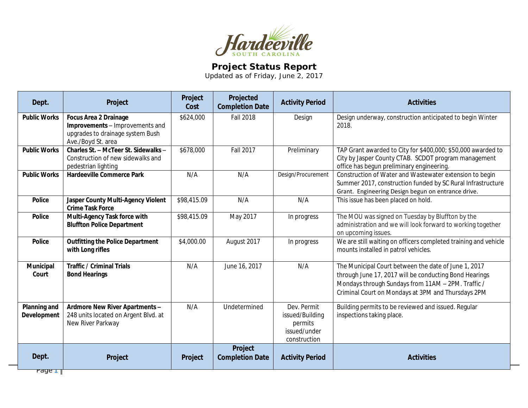

## **Project Status Report**

Updated as of Friday, June 2, 2017

| Design underway, construction anticipated to begin Winter<br><b>Public Works</b><br><b>Focus Area 2 Drainage</b><br>\$624,000<br><b>Fall 2018</b><br>Design<br>Improvements - Improvements and<br>2018.<br>upgrades to drainage system Bush<br>Ave./Boyd St. area<br>Charles St. - McTeer St. Sidewalks -<br>\$678,000<br><b>Fall 2017</b><br><b>Public Works</b><br>Preliminary<br>TAP Grant awarded to City for \$400,000; \$50,000 awarded to<br>City by Jasper County CTAB. SCDOT program management<br>Construction of new sidewalks and<br>office has begun preliminary engineering.<br>pedestrian lighting<br>Design/Procurement<br><b>Public Works</b><br>N/A<br>Construction of Water and Wastewater extension to begin<br><b>Hardeeville Commerce Park</b><br>N/A<br>Summer 2017, construction funded by SC Rural Infrastructure<br>Grant. Engineering Design begun on entrance drive.<br>\$98,415.09<br>N/A<br>N/A<br><b>Police</b><br>Jasper County Multi-Agency Violent<br>This issue has been placed on hold.<br><b>Crime Task Force</b><br>Multi-Agency Task force with<br>\$98,415.09<br>May 2017<br>The MOU was signed on Tuesday by Bluffton by the<br><b>Police</b><br>In progress<br><b>Bluffton Police Department</b><br>administration and we will look forward to working together<br>on upcoming issues.<br>We are still waiting on officers completed training and vehicle<br><b>Outfitting the Police Department</b><br>\$4,000.00<br>August 2017<br><b>Police</b><br>In progress<br>with Long rifles<br>mounts installed in patrol vehicles.<br>June 16, 2017<br>The Municipal Court between the date of June 1, 2017<br>Municipal<br><b>Traffic / Criminal Trials</b><br>N/A<br>N/A<br><b>Bond Hearings</b><br>Court<br>through June 17, 2017 will be conducting Bond Hearings<br>Mondays through Sundays from 11AM - 2PM. Traffic /<br>Criminal Court on Mondays at 3PM and Thursdays 2PM<br>Planning and<br>N/A<br>Undetermined<br>Dev. Permit<br>Building permits to be reviewed and issued. Regular<br>Ardmore New River Apartments -<br>248 units located on Argent Blvd. at<br>inspections taking place.<br><b>Development</b><br>issued/Building<br>New River Parkway<br>permits<br>issued/under<br>construction<br>Project<br>Dept.<br><b>Completion Date</b><br><b>Activities</b><br>Project<br><b>Activity Period</b><br>Project | Dept.                         | Project | Project<br>Cost | Projected<br><b>Completion Date</b> | <b>Activity Period</b> | <b>Activities</b> |
|------------------------------------------------------------------------------------------------------------------------------------------------------------------------------------------------------------------------------------------------------------------------------------------------------------------------------------------------------------------------------------------------------------------------------------------------------------------------------------------------------------------------------------------------------------------------------------------------------------------------------------------------------------------------------------------------------------------------------------------------------------------------------------------------------------------------------------------------------------------------------------------------------------------------------------------------------------------------------------------------------------------------------------------------------------------------------------------------------------------------------------------------------------------------------------------------------------------------------------------------------------------------------------------------------------------------------------------------------------------------------------------------------------------------------------------------------------------------------------------------------------------------------------------------------------------------------------------------------------------------------------------------------------------------------------------------------------------------------------------------------------------------------------------------------------------------------------------------------------------------------------------------------------------------------------------------------------------------------------------------------------------------------------------------------------------------------------------------------------------------------------------------------------------------------------------------------------------------------------------------------------------------------------------------------------------------------------------------------------------------|-------------------------------|---------|-----------------|-------------------------------------|------------------------|-------------------|
|                                                                                                                                                                                                                                                                                                                                                                                                                                                                                                                                                                                                                                                                                                                                                                                                                                                                                                                                                                                                                                                                                                                                                                                                                                                                                                                                                                                                                                                                                                                                                                                                                                                                                                                                                                                                                                                                                                                                                                                                                                                                                                                                                                                                                                                                                                                                                                        |                               |         |                 |                                     |                        |                   |
|                                                                                                                                                                                                                                                                                                                                                                                                                                                                                                                                                                                                                                                                                                                                                                                                                                                                                                                                                                                                                                                                                                                                                                                                                                                                                                                                                                                                                                                                                                                                                                                                                                                                                                                                                                                                                                                                                                                                                                                                                                                                                                                                                                                                                                                                                                                                                                        |                               |         |                 |                                     |                        |                   |
|                                                                                                                                                                                                                                                                                                                                                                                                                                                                                                                                                                                                                                                                                                                                                                                                                                                                                                                                                                                                                                                                                                                                                                                                                                                                                                                                                                                                                                                                                                                                                                                                                                                                                                                                                                                                                                                                                                                                                                                                                                                                                                                                                                                                                                                                                                                                                                        |                               |         |                 |                                     |                        |                   |
|                                                                                                                                                                                                                                                                                                                                                                                                                                                                                                                                                                                                                                                                                                                                                                                                                                                                                                                                                                                                                                                                                                                                                                                                                                                                                                                                                                                                                                                                                                                                                                                                                                                                                                                                                                                                                                                                                                                                                                                                                                                                                                                                                                                                                                                                                                                                                                        |                               |         |                 |                                     |                        |                   |
|                                                                                                                                                                                                                                                                                                                                                                                                                                                                                                                                                                                                                                                                                                                                                                                                                                                                                                                                                                                                                                                                                                                                                                                                                                                                                                                                                                                                                                                                                                                                                                                                                                                                                                                                                                                                                                                                                                                                                                                                                                                                                                                                                                                                                                                                                                                                                                        |                               |         |                 |                                     |                        |                   |
|                                                                                                                                                                                                                                                                                                                                                                                                                                                                                                                                                                                                                                                                                                                                                                                                                                                                                                                                                                                                                                                                                                                                                                                                                                                                                                                                                                                                                                                                                                                                                                                                                                                                                                                                                                                                                                                                                                                                                                                                                                                                                                                                                                                                                                                                                                                                                                        |                               |         |                 |                                     |                        |                   |
|                                                                                                                                                                                                                                                                                                                                                                                                                                                                                                                                                                                                                                                                                                                                                                                                                                                                                                                                                                                                                                                                                                                                                                                                                                                                                                                                                                                                                                                                                                                                                                                                                                                                                                                                                                                                                                                                                                                                                                                                                                                                                                                                                                                                                                                                                                                                                                        |                               |         |                 |                                     |                        |                   |
|                                                                                                                                                                                                                                                                                                                                                                                                                                                                                                                                                                                                                                                                                                                                                                                                                                                                                                                                                                                                                                                                                                                                                                                                                                                                                                                                                                                                                                                                                                                                                                                                                                                                                                                                                                                                                                                                                                                                                                                                                                                                                                                                                                                                                                                                                                                                                                        |                               |         |                 |                                     |                        |                   |
|                                                                                                                                                                                                                                                                                                                                                                                                                                                                                                                                                                                                                                                                                                                                                                                                                                                                                                                                                                                                                                                                                                                                                                                                                                                                                                                                                                                                                                                                                                                                                                                                                                                                                                                                                                                                                                                                                                                                                                                                                                                                                                                                                                                                                                                                                                                                                                        | $\overline{\text{Page } \Pi}$ |         |                 |                                     |                        |                   |